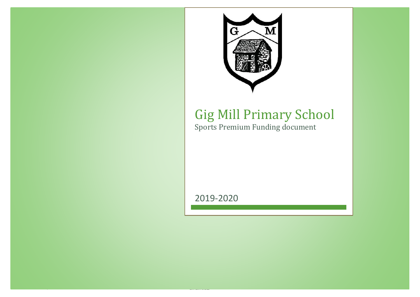

## Gig Mill Primary School Sports Premium Funding document

2019-2020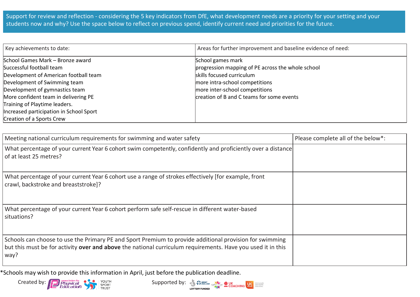Support for review and reflection - considering the 5 key indicators from DfE, what development needs are a priority for your setting and your students now and why? Use the space below to reflect on previous spend, identify current need and priorities for the future.

| Key achievements to date:                                                                                                                                                                                                                                                                                                | Areas for further improvement and baseline evidence of need:                                                                                                                                                         |
|--------------------------------------------------------------------------------------------------------------------------------------------------------------------------------------------------------------------------------------------------------------------------------------------------------------------------|----------------------------------------------------------------------------------------------------------------------------------------------------------------------------------------------------------------------|
| School Games Mark - Bronze award<br>Successful football team<br>Development of American football team<br>Development of Swimming team<br>Development of gymnastics team<br>More confident team in delivering PE<br>Training of Playtime leaders.<br>Increased participation in School Sport<br>Creation of a Sports Crew | School games mark<br>progression mapping of PE across the whole school<br>skills focused curriculum<br>more intra-school competitions<br>more inter-school competitions<br>creation of B and C teams for some events |

| Meeting national curriculum requirements for swimming and water safety                                                                                                                                                         | Please complete all of the below*: |
|--------------------------------------------------------------------------------------------------------------------------------------------------------------------------------------------------------------------------------|------------------------------------|
| What percentage of your current Year 6 cohort swim competently, confidently and proficiently over a distance<br>of at least 25 metres?                                                                                         |                                    |
| What percentage of your current Year 6 cohort use a range of strokes effectively [for example, front<br>crawl, backstroke and breaststroke]?                                                                                   |                                    |
| What percentage of your current Year 6 cohort perform safe self-rescue in different water-based<br>situations?                                                                                                                 |                                    |
| Schools can choose to use the Primary PE and Sport Premium to provide additional provision for swimming<br>but this must be for activity over and above the national curriculum requirements. Have you used it in this<br>way? |                                    |

\*Schools may wish to provide this information in April, just before the publication deadline.



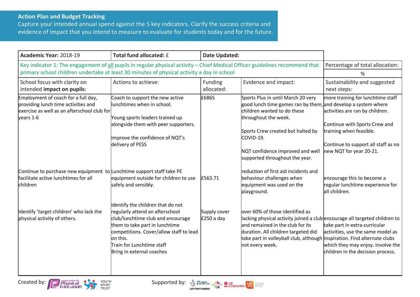## **Action Plan and Budget Tracking**

Capture your intended annual spend against the 5 key indicators. Clarify the success criteria and evidence of impact that you intend to measure to evaluate for students today and for the future.

| Academic Year: 2018-19                                                                                                                                                                                                     | Total fund allocated: £                                                                                                                                                                                                                                      | <b>Date Updated:</b>        |                                                                                                                                                                                                                                                        |                                                                                                                                                                                   |
|----------------------------------------------------------------------------------------------------------------------------------------------------------------------------------------------------------------------------|--------------------------------------------------------------------------------------------------------------------------------------------------------------------------------------------------------------------------------------------------------------|-----------------------------|--------------------------------------------------------------------------------------------------------------------------------------------------------------------------------------------------------------------------------------------------------|-----------------------------------------------------------------------------------------------------------------------------------------------------------------------------------|
| Key indicator 1: The engagement of all pupils in regular physical activity - Chief Medical Officer guidelines recommend that<br>primary school children undertake at least 30 minutes of physical activity a day in school |                                                                                                                                                                                                                                                              |                             | Percentage of total allocation:                                                                                                                                                                                                                        |                                                                                                                                                                                   |
| School focus with clarity on                                                                                                                                                                                               | Evidence and impact:<br>Actions to achieve:<br>Funding                                                                                                                                                                                                       |                             | %<br>Sustainability and suggested                                                                                                                                                                                                                      |                                                                                                                                                                                   |
| intended impact on pupils:                                                                                                                                                                                                 |                                                                                                                                                                                                                                                              | allocated:                  |                                                                                                                                                                                                                                                        | next steps:                                                                                                                                                                       |
| Employment of coach for a full day,<br>providing lunch time activities and<br>exercise as well as an afterschool club for<br>years 1-6                                                                                     | Coach to support the new active<br>lunchtimes when in school.<br>Young sports leaders trained up<br>alongside them with peer supporters.                                                                                                                     | £6865                       | Sports Plus in until March 20 very<br>good lunch time games ran by them, and develop a system where<br>children wanted to do these<br>throughout the week.                                                                                             | more training for lunchtime staff<br>activities are ran by children.<br>Continue with Sports Crew and                                                                             |
|                                                                                                                                                                                                                            | Improve the confidence of NQT's<br>delivery of PESS                                                                                                                                                                                                          |                             | Sports Crew created but halted by<br>COVID-19.<br>NQT confidence improved and well<br>supported throughout the year.                                                                                                                                   | training when feasible.<br>Continue to support all staff as no<br>new NQT for year 20-21.                                                                                         |
| Continue to purchase new equipment to Lunchtime support staff take PE<br>facilitate active lunchtimes for all<br>children                                                                                                  | equipment outside for children to use<br>safely and sensibly.                                                                                                                                                                                                | £563.71                     | reduction of first aid incidents and<br>behaviour challenges when<br>equipment was used on the<br>playground.                                                                                                                                          | encourage this to become a<br>regular lunchtime experience for<br>all children.                                                                                                   |
| Identify 'target children' who lack the<br>physical activity of others.                                                                                                                                                    | Identify the children that do not<br>regularly attend an afterschool<br>club/lunchtime club and encourage<br>them to take part in lunchtime<br>competitions. Cover/allow staff to lead<br>on this.<br>Train for Lunchtime staff<br>Bring in external coaches | Supply cover<br>$£250a$ day | lover 60% of those identified as<br>lacking physical activity joined a club encourage all targeted children to<br>and remained in the club for its<br>duration. All children targeted did<br>take part in volleyball club, although<br>not every week. | take part in extra-curricular<br>activities, use the same model as<br>inspiration. Find alternate clubs<br>which they may enjoy. Involve the<br>children in the decision process. |



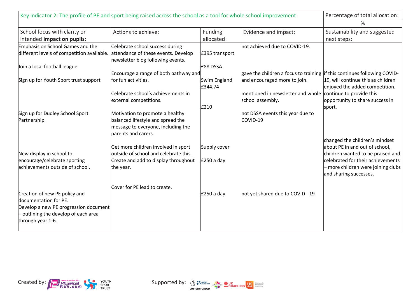| Key indicator 2: The profile of PE and sport being raised across the school as a tool for whole school improvement                                         |                                                                                                                                   |                                   |                                                                                                                                                                    | Percentage of total allocation:                                                                                                                                          |
|------------------------------------------------------------------------------------------------------------------------------------------------------------|-----------------------------------------------------------------------------------------------------------------------------------|-----------------------------------|--------------------------------------------------------------------------------------------------------------------------------------------------------------------|--------------------------------------------------------------------------------------------------------------------------------------------------------------------------|
|                                                                                                                                                            |                                                                                                                                   |                                   |                                                                                                                                                                    | %                                                                                                                                                                        |
| School focus with clarity on<br>intended impact on pupils:                                                                                                 | Actions to achieve:                                                                                                               | Funding<br>allocated:             | Evidence and impact:                                                                                                                                               | Sustainability and suggested<br>next steps:                                                                                                                              |
| Emphasis on School Games and the<br>different levels of competition available.<br>Join a local football league.                                            | Celebrate school success during<br>attendance of these events. Develop<br>newsletter blog following events.                       | £395 transport<br><b>E88 DSSA</b> | not achieved due to COVID-19.                                                                                                                                      |                                                                                                                                                                          |
| Sign up for Youth Sport trust support                                                                                                                      | Encourage a range of both pathway and<br>for fun activities.<br>Celebrate school's achievements in<br>external competitions.      | Swim England<br>£344.74<br>£210   | gave the children a focus to training lif this continues following COVID-<br>and encouraged more to join.<br>mentioned in newsletter and whole<br>school assembly. | 19, will continue this as children<br>enjoyed the added competition.<br>continue to provide this<br>opportunity to share success in<br>sport.                            |
| Sign up for Dudley School Sport<br>Partnership.                                                                                                            | Motivation to promote a healthy<br>balanced lifestyle and spread the<br>message to everyone, including the<br>parents and carers. |                                   | not DSSA events this year due to<br>COVID-19                                                                                                                       | changed the children's mindset                                                                                                                                           |
| New display in school to<br>encourage/celebrate sporting<br>achievements outside of school.                                                                | Get more children involved in sport<br>outside of school and celebrate this.<br>Create and add to display throughout<br>the year. | Supply cover<br>$£250a$ day       |                                                                                                                                                                    | about PE in and out of school,<br>children wanted to be praised and<br>celebrated for their achievements<br>- more children were joining clubs<br>and sharing successes. |
| Creation of new PE policy and<br>documentation for PE.<br>Develop a new PE progression document<br>outlining the develop of each area<br>through year 1-6. | Cover for PE lead to create.                                                                                                      | $£250a$ day                       | not yet shared due to COVID - 19                                                                                                                                   |                                                                                                                                                                          |



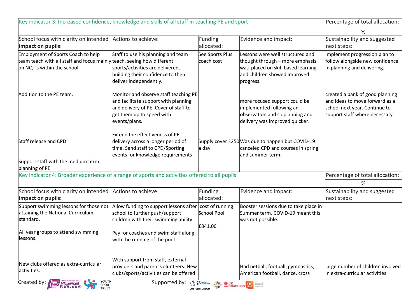| Key indicator 3: Increased confidence, knowledge and skills of all staff in teaching PE and sport                                           |                                                                                                                                                                      |                                                                                                                                                                                                                                                                   |                                                                                                                                                        | Percentage of total allocation:                                                                                                      |
|---------------------------------------------------------------------------------------------------------------------------------------------|----------------------------------------------------------------------------------------------------------------------------------------------------------------------|-------------------------------------------------------------------------------------------------------------------------------------------------------------------------------------------------------------------------------------------------------------------|--------------------------------------------------------------------------------------------------------------------------------------------------------|--------------------------------------------------------------------------------------------------------------------------------------|
|                                                                                                                                             |                                                                                                                                                                      |                                                                                                                                                                                                                                                                   |                                                                                                                                                        | %                                                                                                                                    |
| School focus with clarity on intended Actions to achieve:<br>impact on pupils:                                                              |                                                                                                                                                                      | Funding<br>allocated:                                                                                                                                                                                                                                             | Evidence and impact:                                                                                                                                   | Sustainability and suggested<br>next steps:                                                                                          |
| Employment of Sports Coach to help<br>team teach with all staff and focus mainly teach, seeing how different<br>on NQT's within the school. | Staff to use his planning and team<br>sports/activities are delivered,<br>building their confidence to then<br>deliver independently.                                | See Sports Plus<br>coach cost                                                                                                                                                                                                                                     | Lessons were well structured and<br>thought through - more emphasis<br>was placed on skill based learning<br>and children showed improved<br>progress. | implement progression plan to<br>follow alongside new confidence<br>in planning and delivering.                                      |
| Addition to the PE team.                                                                                                                    | Monitor and observe staff teaching PE<br>and facilitate support with planning<br>and delivery of PE. Cover of staff to<br>get them up to speed with<br>events/plans. |                                                                                                                                                                                                                                                                   | more focused support could be<br>implemented following an<br>observation and so planning and<br>delivery was improved quicker.                         | created a bank of good planning<br>and ideas to move forward as a<br>school next year. Continue to<br>support staff where necessary. |
| Staff release and CPD                                                                                                                       | <b>Extend the effectiveness of PE</b><br>delivery across a longer period of<br>time. Send staff to CPD/Sporting<br>events for knowledge requirements                 | a day                                                                                                                                                                                                                                                             | Supply cover £250 Was due to happen but COVID-19<br>canceled CPD and courses in spring<br>land summer term.                                            |                                                                                                                                      |
| Support staff with the medium term<br>planning of PE.                                                                                       |                                                                                                                                                                      |                                                                                                                                                                                                                                                                   |                                                                                                                                                        |                                                                                                                                      |
| Key indicator 4: Broader experience of a range of sports and activities offered to all pupils                                               |                                                                                                                                                                      |                                                                                                                                                                                                                                                                   | Percentage of total allocation:                                                                                                                        |                                                                                                                                      |
|                                                                                                                                             |                                                                                                                                                                      |                                                                                                                                                                                                                                                                   |                                                                                                                                                        | %                                                                                                                                    |
| School focus with clarity on intended Actions to achieve:<br>impact on pupils:                                                              |                                                                                                                                                                      | Funding<br>allocated:                                                                                                                                                                                                                                             | Evidence and impact:                                                                                                                                   | Sustainability and suggested<br>next steps:                                                                                          |
| Support swimming lessons for those not<br>attaining the National Curriculum<br>standard.                                                    | Allow funding to support lessons after<br>school to further push/support<br>children with their swimming ability.                                                    | cost of running<br>School Pool<br>£841.06                                                                                                                                                                                                                         | Booster sessions due to take place in<br>Summer term. COVID-19 meant this<br>was not possible.                                                         |                                                                                                                                      |
| All year groups to attend swimming<br>lessons.                                                                                              | Pay for coaches and swim staff along<br>with the running of the pool.                                                                                                |                                                                                                                                                                                                                                                                   |                                                                                                                                                        |                                                                                                                                      |
| New clubs offered as extra-curricular<br>activities.                                                                                        | With support from staff, external<br>providers and parent volunteers. New<br>clubs/sports/activities can be offered                                                  |                                                                                                                                                                                                                                                                   | Had netball, football, gymnastics,<br>American football, dance, cross                                                                                  | large number of children involved<br>in extra-curricular activities.                                                                 |
| Created by:<br>YOUTH<br><i>Physical</i><br>Education<br>SPORT<br>TRUST                                                                      | Supported by:                                                                                                                                                        | <b>The SP ENGLAND CSPINGTING &amp; UK DESCRIPTION OF A DESCRIPTION OF A DESCRIPTION OF A DESCRIPTION OF A DESCRIPTION OF A DESCRIPTION OF A DESCRIPTION OF A DESCRIPTION OF A DESCRIPTION OF A DESCRIPTION OF A DESCRIPTION OF A DES</b><br><b>LOTTERY FUNDED</b> |                                                                                                                                                        |                                                                                                                                      |